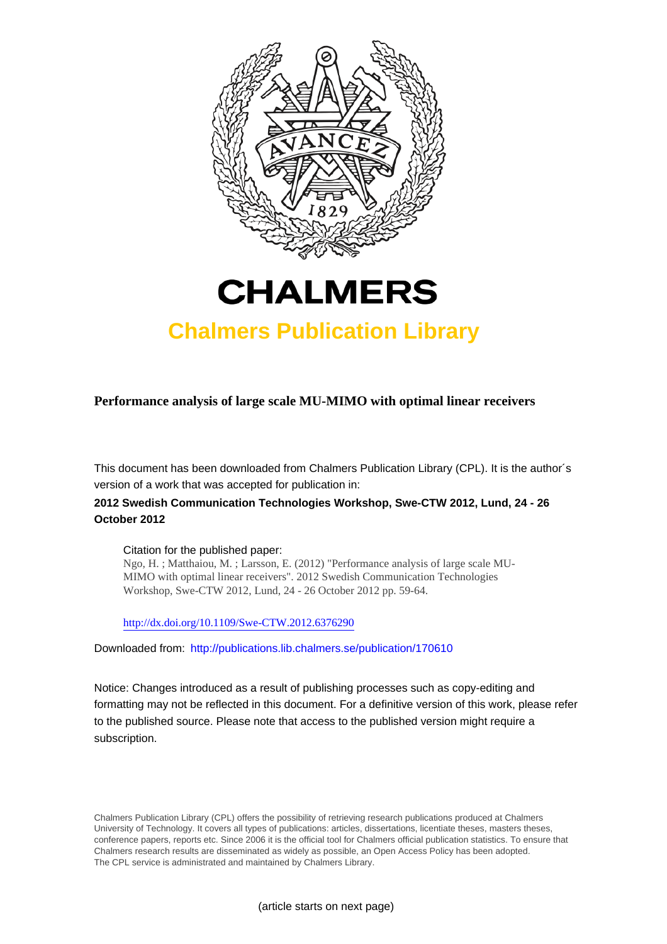



## **Chalmers Publication Library**

**Performance analysis of large scale MU-MIMO with optimal linear receivers**

This document has been downloaded from Chalmers Publication Library (CPL). It is the author´s version of a work that was accepted for publication in:

## **2012 Swedish Communication Technologies Workshop, Swe-CTW 2012, Lund, 24 - 26 October 2012**

### Citation for the published paper:

Ngo, H. ; Matthaiou, M. ; Larsson, E. (2012) "Performance analysis of large scale MU-MIMO with optimal linear receivers". 2012 Swedish Communication Technologies Workshop, Swe-CTW 2012, Lund, 24 - 26 October 2012 pp. 59-64.

<http://dx.doi.org/10.1109/Swe-CTW.2012.6376290>

Downloaded from: <http://publications.lib.chalmers.se/publication/170610>

Notice: Changes introduced as a result of publishing processes such as copy-editing and formatting may not be reflected in this document. For a definitive version of this work, please refer to the published source. Please note that access to the published version might require a subscription.

Chalmers Publication Library (CPL) offers the possibility of retrieving research publications produced at Chalmers University of Technology. It covers all types of publications: articles, dissertations, licentiate theses, masters theses, conference papers, reports etc. Since 2006 it is the official tool for Chalmers official publication statistics. To ensure that Chalmers research results are disseminated as widely as possible, an Open Access Policy has been adopted. The CPL service is administrated and maintained by Chalmers Library.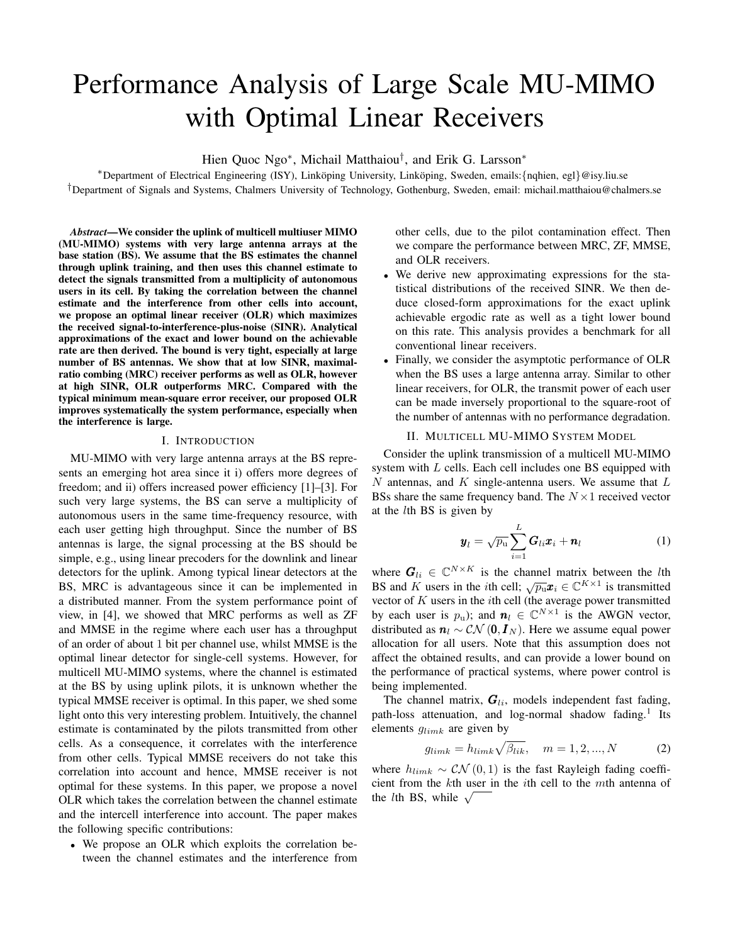# Performance Analysis of Large Scale MU-MIMO with Optimal Linear Receivers

Hien Quoc Ngo<sup>∗</sup>, Michail Matthaiou<sup>†</sup>, and Erik G. Larsson<sup>∗</sup>

\*Department of Electrical Engineering (ISY), Linköping University, Linköping, Sweden, emails: {nqhien, egl}@isy.liu.se †Department of Signals and Systems, Chalmers University of Technology, Gothenburg, Sweden, email: michail.matthaiou@chalmers.se

*Abstract***—We consider the uplink of multicell multiuser MIMO (MU-MIMO) systems with very large antenna arrays at the base station (BS). We assume that the BS estimates the channel through uplink training, and then uses this channel estimate to detect the signals transmitted from a multiplicity of autonomous users in its cell. By taking the correlation between the channel estimate and the interference from other cells into account, we propose an optimal linear receiver (OLR) which maximizes the received signal-to-interference-plus-noise (SINR). Analytical approximations of the exact and lower bound on the achievable rate are then derived. The bound is very tight, especially at large number of BS antennas. We show that at low SINR, maximalratio combing (MRC) receiver performs as well as OLR, however at high SINR, OLR outperforms MRC. Compared with the typical minimum mean-square error receiver, our proposed OLR improves systematically the system performance, especially when the interference is large.**

#### I. INTRODUCTION

MU-MIMO with very large antenna arrays at the BS represents an emerging hot area since it i) offers more degrees of freedom; and ii) offers increased power efficiency [1]–[3]. For such very large systems, the BS can serve a multiplicity of autonomous users in the same time-frequency resource, with each user getting high throughput. Since the number of BS antennas is large, the signal processing at the BS should be simple, e.g., using linear precoders for the downlink and linear detectors for the uplink. Among typical linear detectors at the BS, MRC is advantageous since it can be implemented in a distributed manner. From the system performance point of view, in [4], we showed that MRC performs as well as ZF and MMSE in the regime where each user has a throughput of an order of about 1 bit per channel use, whilst MMSE is the optimal linear detector for single-cell systems. However, for multicell MU-MIMO systems, where the channel is estimated at the BS by using uplink pilots, it is unknown whether the typical MMSE receiver is optimal. In this paper, we shed some light onto this very interesting problem. Intuitively, the channel estimate is contaminated by the pilots transmitted from other cells. As a consequence, it correlates with the interference from other cells. Typical MMSE receivers do not take this correlation into account and hence, MMSE receiver is not optimal for these systems. In this paper, we propose a novel OLR which takes the correlation between the channel estimate and the intercell interference into account. The paper makes the following specific contributions:

• We propose an OLR which exploits the correlation between the channel estimates and the interference from other cells, due to the pilot contamination effect. Then we compare the performance between MRC, ZF, MMSE, and OLR receivers.

- We derive new approximating expressions for the statistical distributions of the received SINR. We then deduce closed-form approximations for the exact uplink achievable ergodic rate as well as a tight lower bound on this rate. This analysis provides a benchmark for all conventional linear receivers.
- Finally, we consider the asymptotic performance of OLR when the BS uses a large antenna array. Similar to other linear receivers, for OLR, the transmit power of each user can be made inversely proportional to the square-root of the number of antennas with no performance degradation.

#### II. MULTICELL MU-MIMO SYSTEM MODEL

Consider the uplink transmission of a multicell MU-MIMO system with L cells. Each cell includes one BS equipped with  $N$  antennas, and  $K$  single-antenna users. We assume that  $L$ BSs share the same frequency band. The  $N \times 1$  received vector at the  $l$ th BS is given by

$$
\boldsymbol{y}_l = \sqrt{p_u} \sum_{i=1}^L \boldsymbol{G}_{li} \boldsymbol{x}_i + \boldsymbol{n}_l
$$
 (1)

where  $G_{li} \in \mathbb{C}^{N \times K}$  is the channel matrix between the *l*th BS and K users in the *i*th cell;  $\sqrt{p_u}x_i \in \mathbb{C}^{K \times 1}$  is transmitted vector of  $K$  users in the *i*th cell (the average power transmitted by each user is  $p_{\mu}$ ); and  $n_l \in \mathbb{C}^{N \times 1}$  is the AWGN vector, distributed as  $n_l \sim \mathcal{CN}(0, I_N)$ . Here we assume equal power allocation for all users. Note that this assumption does not affect the obtained results, and can provide a lower bound on the performance of practical systems, where power control is being implemented.

The channel matrix,  $G_{li}$ , models independent fast fading, path-loss attenuation, and log-normal shadow fading.<sup>1</sup> Its elements  $g_{\text{lim}k}$  are given by

$$
g_{limk} = h_{limk} \sqrt{\beta_{lik}}, \quad m = 1, 2, ..., N
$$
 (2)

where  $h_{limk} \sim \mathcal{CN}(0, 1)$  is the fast Rayleigh fading coefficient from the kth user in the ith cell to the mth antenna of the *l*th BS, while  $\sqrt{ }$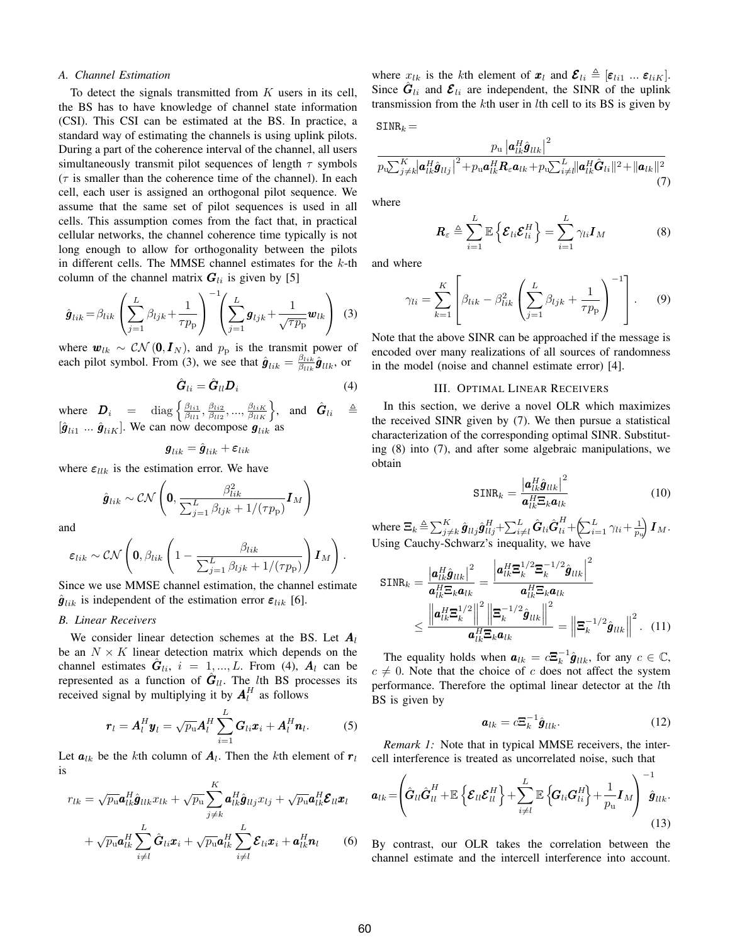#### *A. Channel Estimation*

To detect the signals transmitted from  $K$  users in its cell, the BS has to have knowledge of channel state information (CSI). This CSI can be estimated at the BS. In practice, a standard way of estimating the channels is using uplink pilots. During a part of the coherence interval of the channel, all users simultaneously transmit pilot sequences of length  $\tau$  symbols  $(\tau)$  is smaller than the coherence time of the channel). In each cell, each user is assigned an orthogonal pilot sequence. We assume that the same set of pilot sequences is used in all cells. This assumption comes from the fact that, in practical cellular networks, the channel coherence time typically is not long enough to allow for orthogonality between the pilots in different cells. The MMSE channel estimates for the k-th column of the channel matrix  $G_{li}$  is given by [5]

$$
\hat{\boldsymbol{g}}_{lik} = \beta_{lik} \left( \sum_{j=1}^{L} \beta_{ljk} + \frac{1}{\tau p_{\rm p}} \right)^{-1} \left( \sum_{j=1}^{L} \boldsymbol{g}_{ljk} + \frac{1}{\sqrt{\tau p_{\rm p}}} \boldsymbol{w}_{lk} \right) (3)
$$

where  $w_{lk} \sim \mathcal{CN}(\mathbf{0}, I_N)$ , and  $p_p$  is the transmit power of each pilot symbol. From (3), we see that  $\hat{\mathbf{g}}_{lik} = \frac{\beta_{lik}}{\beta_{llk}} \hat{\mathbf{g}}_{llk}$ , or

$$
\hat{G}_{li} = \hat{G}_{ll} D_i \tag{4}
$$

where  $\boldsymbol{D}_i$  = diag  $\left\{\frac{\beta_{li1}}{\beta_{l11}}, \frac{\beta_{li2}}{\beta_{l12}}, ..., \frac{\beta_{liK}}{\beta_{llK}}\right\}$ , and  $\hat{\boldsymbol{G}}_{li}$   $\triangleq$  $[\hat{\boldsymbol{g}}_{li1} \dots \hat{\boldsymbol{g}}_{liK}]$ . We can now decompose  $\boldsymbol{g}_{lik}$  as

$$
\boldsymbol{g}_{lik} = \hat{\boldsymbol{g}}_{lik} + \varepsilon_{lik}
$$

where  $\varepsilon_{llk}$  is the estimation error. We have

$$
\hat{\boldsymbol{g}}_{lik} \sim \mathcal{CN}\left(\mathbf{0}, \frac{\beta_{lik}^2}{\sum_{j=1}^L \beta_{ljk} + 1/(\tau p_{\rm p})}\boldsymbol{I}_M\right)
$$

and

$$
\varepsilon_{lik} \sim \mathcal{CN}\left(\mathbf{0}, \beta_{lik}\left(1 - \frac{\beta_{lik}}{\sum_{j=1}^{L} \beta_{ljk} + 1/(\tau p_{\rm p})}\right) \boldsymbol{I}_M\right).
$$

Since we use MMSE channel estimation, the channel estimate  $\hat{\mathbf{g}}_{lik}$  is independent of the estimation error  $\boldsymbol{\varepsilon}_{lik}$  [6].

#### *B. Linear Receivers*

We consider linear detection schemes at the BS. Let  $A<sub>l</sub>$ be an  $N \times K$  linear detection matrix which depends on the channel estimates  $G_{li}$ ,  $i = 1, ..., L$ . From (4),  $A_l$  can be represented as a function of  $G_{ll}$ . The *l*th BS processes its received signal by multiplying it by  $A_l^H$  as follows

$$
\boldsymbol{r}_l = \boldsymbol{A}_l^H \boldsymbol{y}_l = \sqrt{p_u} \boldsymbol{A}_l^H \sum_{i=1}^L \boldsymbol{G}_{li} \boldsymbol{x}_i + \boldsymbol{A}_l^H \boldsymbol{n}_l. \hspace{1cm} (5)
$$

Let  $a_{lk}$  be the kth column of  $A_l$ . Then the kth element of  $r_l$ is

$$
r_{lk} = \sqrt{p_{\rm u}} \mathbf{a}_{lk}^H \hat{\mathbf{g}}_{llk} x_{lk} + \sqrt{p_{\rm u}} \sum_{j \neq k}^K \mathbf{a}_{lk}^H \hat{\mathbf{g}}_{llj} x_{lj} + \sqrt{p_{\rm u}} \mathbf{a}_{lk}^H \mathbf{E}_{ll} \mathbf{x}_l
$$

$$
+ \sqrt{p_{\rm u}} \mathbf{a}_{lk}^H \sum_{i \neq l}^L \hat{\mathbf{G}}_{li} \mathbf{x}_i + \sqrt{p_{\rm u}} \mathbf{a}_{lk}^H \sum_{i \neq l}^L \mathbf{E}_{li} \mathbf{x}_i + \mathbf{a}_{lk}^H \mathbf{n}_l \qquad (6)
$$

where  $x_{lk}$  is the kth element of  $\mathbf{x}_l$  and  $\mathbf{\mathcal{E}}_{li} \triangleq [\varepsilon_{li1} \dots \varepsilon_{lik}].$ Since  $G_{li}$  and  $\mathcal{E}_{li}$  are independent, the SINR of the uplink transmission from the  $k$ th user in  $l$ th cell to its BS is given by

 $SINR_k =$ 

$$
\frac{p_{\mathrm{u}}\left|\boldsymbol{a}_{lk}^H\hat{\boldsymbol{g}}_{lk}\right|^2}{p_{\mathrm{u}}\sum_{j\neq k}^K\!\left|\boldsymbol{a}_{lk}^H\hat{\boldsymbol{g}}_{llj}\right|^2+p_{\mathrm{u}}\boldsymbol{a}_{lk}^H\boldsymbol{R}_{\varepsilon}\boldsymbol{a}_{lk}+p_{\mathrm{u}}\!\sum_{i\neq l}^L\!\left|\!\left|\boldsymbol{a}_{lk}^H\hat{\boldsymbol{G}}_{li}\right|\!\right|^2+\|\boldsymbol{a}_{lk}\|^2}\right|}
$$
(7)

where

$$
\boldsymbol{R}_{\varepsilon} \triangleq \sum_{i=1}^{L} \mathbb{E} \left\{ \boldsymbol{\mathcal{E}}_{li} \boldsymbol{\mathcal{E}}_{li}^{H} \right\} = \sum_{i=1}^{L} \gamma_{li} \boldsymbol{I}_{M}
$$
(8)

and where

$$
\gamma_{li} = \sum_{k=1}^{K} \left[ \beta_{lik} - \beta_{lik}^2 \left( \sum_{j=1}^{L} \beta_{ljk} + \frac{1}{\tau p_p} \right)^{-1} \right].
$$
 (9)

Note that the above SINR can be approached if the message is encoded over many realizations of all sources of randomness in the model (noise and channel estimate error) [4].

#### III. OPTIMAL LINEAR RECEIVERS

In this section, we derive a novel OLR which maximizes the received SINR given by (7). We then pursue a statistical characterization of the corresponding optimal SINR. Substituting (8) into (7), and after some algebraic manipulations, we obtain

$$
\text{SINR}_k = \frac{\left| \boldsymbol{a}_{lk}^H \hat{\boldsymbol{g}}_{llk} \right|^2}{\boldsymbol{a}_{lk}^H \boldsymbol{\Xi}_k \boldsymbol{a}_{lk}}
$$
(10)

where  $\Xi_k \triangleq \sum_{j \neq k}^K \hat{\mathbf{g}}_{llj} \hat{\mathbf{g}}_{llj}^H + \sum_{i \neq l}^L \hat{\mathbf{G}}_{li} \hat{\mathbf{G}}_{li}^H + \left(\sum_{i=1}^L \gamma_{li} + \frac{1}{p_{\nu}}\right) \mathbf{I}_M$ . Using Cauchy-Schwarz's inequality, we have

$$
\text{SINR}_k = \frac{\left|\mathbf{a}_{lk}^H \hat{\mathbf{g}}_{llk}\right|^2}{\mathbf{a}_{lk}^H \mathbf{\Xi}_k \mathbf{a}_{lk}} = \frac{\left|\mathbf{a}_{lk}^H \mathbf{\Xi}_k^{1/2} \mathbf{\Xi}_k^{-1/2} \hat{\mathbf{g}}_{llk}\right|^2}{\mathbf{a}_{lk}^H \mathbf{\Xi}_k \mathbf{a}_{lk}}
$$

$$
\leq \frac{\left\|\mathbf{a}_{lk}^H \mathbf{\Xi}_k^{1/2}\right\|^2 \left\|\mathbf{\Xi}_k^{-1/2} \hat{\mathbf{g}}_{llk}\right\|^2}{\mathbf{a}_{lk}^H \mathbf{\Xi}_k \mathbf{a}_{lk}} = \left\|\mathbf{\Xi}_k^{-1/2} \hat{\mathbf{g}}_{llk}\right\|^2. \quad (11)
$$

The equality holds when  $a_{lk} = c \Xi_k^{-1} \hat{g}_{llk}$ , for any  $c \in \mathbb{C}$ ,  $c \neq 0$ . Note that the choice of c does not affect the system performance. Therefore the optimal linear detector at the lth BS is given by

$$
\boldsymbol{a}_{lk} = c\boldsymbol{\Xi}_k^{-1}\hat{\boldsymbol{g}}_{llk}.
$$
 (12)

*Remark 1:* Note that in typical MMSE receivers, the intercell interference is treated as uncorrelated noise, such that

$$
\boldsymbol{a}_{lk} = \left(\hat{\boldsymbol{G}}_{ll}\hat{\boldsymbol{G}}_{ll}^H + \mathbb{E}\left\{\boldsymbol{\mathcal{E}}_{ll}\boldsymbol{\mathcal{E}}_{ll}^H\right\} + \sum_{i\neq l}^L \mathbb{E}\left\{\boldsymbol{G}_{li}\boldsymbol{G}_{li}^H\right\} + \frac{1}{p_\mathrm{u}}\boldsymbol{I}_M\right)^{-1}\hat{\boldsymbol{g}}_{llk}.
$$
\n(13)

By contrast, our OLR takes the correlation between the channel estimate and the intercell interference into account.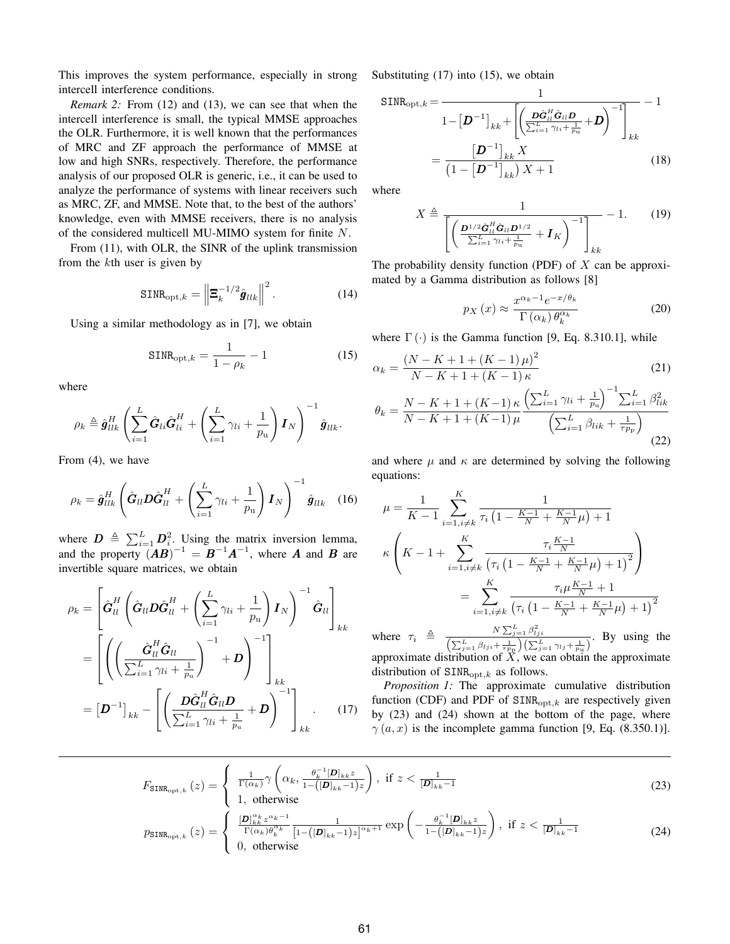This improves the system performance, especially in strong intercell interference conditions.

*Remark 2:* From (12) and (13), we can see that when the intercell interference is small, the typical MMSE approaches the OLR. Furthermore, it is well known that the performances of MRC and ZF approach the performance of MMSE at low and high SNRs, respectively. Therefore, the performance analysis of our proposed OLR is generic, i.e., it can be used to analyze the performance of systems with linear receivers such as MRC, ZF, and MMSE. Note that, to the best of the authors' knowledge, even with MMSE receivers, there is no analysis of the considered multicell MU-MIMO system for finite N.

From (11), with OLR, the SINR of the uplink transmission from the kth user is given by

$$
\text{SINR}_{\text{opt},k} = \left\| \mathbf{\Xi}_k^{-1/2} \hat{\boldsymbol{g}}_{llk} \right\|^2. \tag{14}
$$

Using a similar methodology as in [7], we obtain

$$
SINR_{\text{opt},k} = \frac{1}{1 - \rho_k} - 1
$$
 (15)

where

$$
\rho_k \triangleq \hat{\boldsymbol{g}}_{llk}^H \left( \sum_{i=1}^L \hat{\boldsymbol{G}}_{li} \hat{\boldsymbol{G}}_{li}^H + \left( \sum_{i=1}^L \gamma_{li} + \frac{1}{p_u} \right) \boldsymbol{I}_N \right)^{-1} \hat{\boldsymbol{g}}_{llk}.
$$

From (4), we have

$$
\rho_k = \hat{\boldsymbol{g}}_{llk}^H \left( \hat{\boldsymbol{G}}_{ll} \boldsymbol{D} \hat{\boldsymbol{G}}_{ll}^H + \left( \sum_{i=1}^L \gamma_{li} + \frac{1}{p_u} \right) \boldsymbol{I}_N \right)^{-1} \hat{\boldsymbol{g}}_{llk} \quad (16)
$$

where  $\boldsymbol{D} \triangleq \sum_{i=1}^{L} \boldsymbol{D}_i^2$ . Using the matrix inversion lemma, and the property  $(\mathbf{A}\mathbf{B})^{-1} = \mathbf{B}^{-1}\mathbf{A}^{-1}$ , where  $\mathbf{A}$  and  $\mathbf{B}$  are invertible square matrices, we obtain

$$
\rho_k = \left[ \hat{\boldsymbol{G}}_l^H \left( \hat{\boldsymbol{G}}_{ll} \boldsymbol{D} \hat{\boldsymbol{G}}_l^H + \left( \sum_{i=1}^L \gamma_{li} + \frac{1}{p_u} \right) \boldsymbol{I}_N \right)^{-1} \hat{\boldsymbol{G}}_{ll} \right]_{kk}
$$

$$
= \left[ \left( \left( \frac{\hat{\boldsymbol{G}}_l^H \hat{\boldsymbol{G}}_{ll}}{\sum_{i=1}^L \gamma_{li} + \frac{1}{p_u}} \right)^{-1} + \boldsymbol{D} \right)^{-1} \right]_{kk}
$$

$$
= \left[ \boldsymbol{D}^{-1} \right]_{kk} - \left[ \left( \frac{\boldsymbol{D} \hat{\boldsymbol{G}}_l^H \hat{\boldsymbol{G}}_{ll} \boldsymbol{D}}{\sum_{i=1}^L \gamma_{li} + \frac{1}{p_u}} + \boldsymbol{D} \right)^{-1} \right]_{kk} . \tag{17}
$$

Substituting (17) into (15), we obtain

$$
SINR_{opt,k} = \frac{1}{1 - [D^{-1}]_{kk} + \left[ \left( \frac{D\hat{G}_{li}^H \hat{G}_{li} D}{\sum_{i=1}^L \gamma_{li} + \frac{1}{p_u}} + D \right)^{-1} \right]_{kk}} - 1
$$

$$
= \frac{[D^{-1}]_{kk} X}{(1 - [D^{-1}]_{kk}) X + 1}
$$
(18)

where

$$
X \triangleq \frac{1}{\left[\left(\frac{\mathbf{D}^{1/2}\hat{\mathbf{G}}_{\mathit{ll}}^H\hat{\mathbf{G}}_{\mathit{ll}}\mathbf{D}^{1/2}}{\sum_{i=1}^L \gamma_{li} + \frac{1}{p_{\mathit{u}}}} + \mathbf{I}_K\right)^{-1}\right]_{kk}} - 1.
$$
 (19)

The probability density function (PDF) of  $X$  can be approximated by a Gamma distribution as follows [8]

$$
p_X(x) \approx \frac{x^{\alpha_k - 1} e^{-x/\theta_k}}{\Gamma(\alpha_k) \theta_k^{\alpha_k}}
$$
 (20)

where  $\Gamma(\cdot)$  is the Gamma function [9, Eq. 8.310.1], while

$$
\alpha_k = \frac{(N - K + 1 + (K - 1)\mu)^2}{N - K + 1 + (K - 1)\kappa} \tag{21}
$$

$$
\theta_k = \frac{N - K + 1 + (K - 1) \kappa}{N - K + 1 + (K - 1) \mu} \frac{\left(\sum_{i=1}^L \gamma_{li} + \frac{1}{p_u}\right)^{-1} \sum_{i=1}^L \beta_{lik}^2}{\left(\sum_{i=1}^L \beta_{lik} + \frac{1}{\tau p_p}\right)}
$$
(22)

and where  $\mu$  and  $\kappa$  are determined by solving the following equations:

$$
\mu = \frac{1}{K - 1} \sum_{i=1, i \neq k}^{K} \frac{1}{\tau_i \left(1 - \frac{K - 1}{N} + \frac{K - 1}{N} \mu\right) + 1}
$$
\n
$$
\kappa \left( K - 1 + \sum_{i=1, i \neq k}^{K} \frac{\tau_i \frac{K - 1}{N}}{\left(\tau_i \left(1 - \frac{K - 1}{N} + \frac{K - 1}{N} \mu\right) + 1\right)^2} \right)
$$
\n
$$
= \sum_{i=1, i \neq k}^{K} \frac{\tau_i \mu \frac{K - 1}{N} + 1}{\left(\tau_i \left(1 - \frac{K - 1}{N} + \frac{K - 1}{N} \mu\right) + 1\right)^2}
$$
\n
$$
\sum_{i=1, i \neq k}^{N} \frac{\tau_i \mu \frac{K - 1}{N} + 1}{\left(\tau_i \left(1 - \frac{K - 1}{N} + \frac{K - 1}{N} \mu\right) + 1\right)^2}
$$

where  $\tau_i \triangleq \frac{N \sum_{j=1}^L \beta_{lji}^2}{\left(\sum_{j=1}^L \beta_{lji} + \frac{1}{\tau p_p}\right)\left(\sum_{j=1}^L \gamma_{lj} + \frac{1}{p_u}\right)}$ . By using the approximate distribution of  $\tilde{X}$ , we can obtain the approximate distribution of  $SINR_{opt,k}$  as follows.

*Proposition 1:* The approximate cumulative distribution function (CDF) and PDF of  $SINR_{opt,k}$  are respectively given by (23) and (24) shown at the bottom of the page, where  $\gamma(a, x)$  is the incomplete gamma function [9, Eq. (8.350.1)].

$$
F_{\text{SINR}_{\text{opt},k}}\left(z\right) = \begin{cases} \frac{1}{\Gamma(\alpha_k)} \gamma\left(\alpha_k, \frac{\theta_k^{-1}[\mathbf{D}]_{kk}z}{1 - ([\mathbf{D}]_{kk} - 1)z}\right), & \text{if } z < \frac{1}{[\mathbf{D}]_{kk} - 1} \\ 1, & \text{otherwise} \end{cases}
$$
(23)

$$
p_{\text{SINR}_{\text{opt},k}}\left(z\right) = \begin{cases} \frac{[\mathbf{D}]_{kk}^{\alpha_k} z^{\alpha_k - 1}}{\Gamma(\alpha_k) \theta_k^{\alpha_k}} \frac{1}{\left[1 - \left([\mathbf{D}]_{kk} - 1\right)z\right]^{\alpha_k + 1}} \exp\left(-\frac{\theta_k^{-1}[\mathbf{D}]_{kk} z}{1 - \left([\mathbf{D}]_{kk} - 1\right)z}\right), & \text{if } z < \frac{1}{[\mathbf{D}]_{kk} - 1} \\ 0, & \text{otherwise} \end{cases} \tag{24}
$$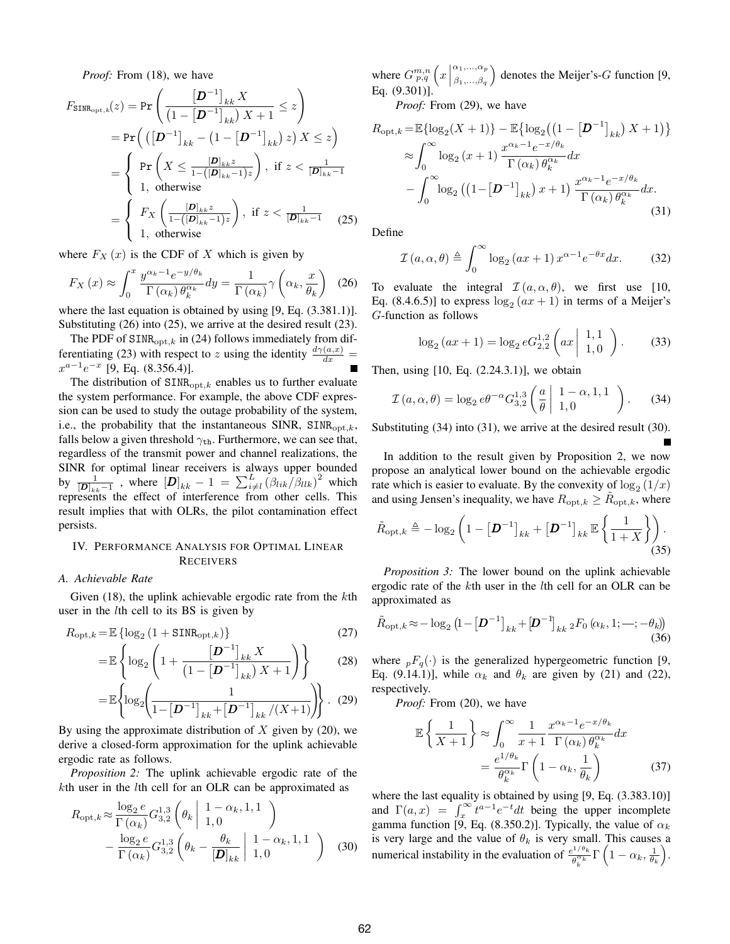*Proof:* From (18), we have

$$
F_{\text{SINR}_{\text{opt},k}}(z) = \Pr\left(\frac{\left[\bm{D}^{-1}\right]_{kk} X}{\left(1 - \left[\bm{D}^{-1}\right]_{kk}\right) X + 1} \le z\right)
$$
  
\n
$$
= \Pr\left(\left(\left[\bm{D}^{-1}\right]_{kk} - \left(1 - \left[\bm{D}^{-1}\right]_{kk}\right) z\right) X \le z\right)
$$
  
\n
$$
= \begin{cases} \Pr\left(X \le \frac{\left[\bm{D}\right]_{kk} z}{1 - \left(\left[\bm{D}\right]_{kk} - 1\right) z}\right), & \text{if } z < \frac{1}{\left[\bm{D}\right]_{kk} - 1} \\ 1, & \text{otherwise} \end{cases}
$$
  
\n
$$
= \begin{cases} F_X\left(\frac{\left[\bm{D}\right]_{kk} z}{1 - \left(\left[\bm{D}\right]_{kk} - 1\right) z}\right), & \text{if } z < \frac{1}{\left[\bm{D}\right]_{kk} - 1} \\ 1, & \text{otherwise} \end{cases} (25)
$$

where  $F_X(x)$  is the CDF of X which is given by

$$
F_X(x) \approx \int_0^x \frac{y^{\alpha_k - 1} e^{-y/\theta_k}}{\Gamma(\alpha_k) \theta_k^{\alpha_k}} dy = \frac{1}{\Gamma(\alpha_k)} \gamma\left(\alpha_k, \frac{x}{\theta_k}\right)
$$
 (26)

where the last equation is obtained by using [9, Eq. (3.381.1)]. Substituting (26) into (25), we arrive at the desired result (23).

The PDF of  $SIMR_{opt,k}$  in (24) follows immediately from differentiating (23) with respect to z using the identity  $\frac{d\gamma(a,x)}{dx}$  =  $x^{a-1}e^{-x}$  [9, Eq. (8.356.4)].

The distribution of  $SINR_{\text{opt},k}$  enables us to further evaluate the system performance. For example, the above CDF expression can be used to study the outage probability of the system, i.e., the probability that the instantaneous SINR,  $SINR_{opt,k}$ , falls below a given threshold  $\gamma_{\rm th}$ . Furthermore, we can see that, regardless of the transmit power and channel realizations, the SINR for optimal linear receivers is always upper bounded by  $\frac{1}{\left[\mathbf{D}\right]_{kk}-1}$ , where  $\left[\mathbf{D}\right]_{kk}-1 = \sum_{i\neq l}^{L} \left(\beta_{lik}/\beta_{llk}\right)^2$  which represents the effect of interference from other cells. This result implies that with OLRs, the pilot contamination effect persists.

#### IV. PERFORMANCE ANALYSIS FOR OPTIMAL LINEAR **RECEIVERS**

#### *A. Achievable Rate*

Given  $(18)$ , the uplink achievable ergodic rate from the kth user in the lth cell to its BS is given by

$$
R_{\text{opt},k} = \mathbb{E}\left\{ \log_2 \left( 1 + \text{SINR}_{\text{opt},k} \right) \right\} \tag{27}
$$

$$
= \mathbb{E}\left\{\log_2\left(1 + \frac{\left[\bm{D}^{-1}\right]_{kk} X}{\left(1 - \left[\bm{D}^{-1}\right]_{kk}\right) X + 1}\right)\right\}
$$
(28)

$$
= \mathbb{E}\left\{\log_2\left(\frac{1}{1 - [\boldsymbol{D}^{-1}]_{kk} + [\boldsymbol{D}^{-1}]_{kk}}/(X+1)\right)\right\}.
$$
 (29)

By using the approximate distribution of  $X$  given by (20), we derive a closed-form approximation for the uplink achievable ergodic rate as follows.

*Proposition 2:* The uplink achievable ergodic rate of the kth user in the lth cell for an OLR can be approximated as

$$
R_{\text{opt},k} \approx \frac{\log_2 e}{\Gamma(\alpha_k)} G_{3,2}^{1,3} \left( \theta_k \middle| 1, 0 \right) - \frac{\log_2 e}{\Gamma(\alpha_k)} G_{3,2}^{1,3} \left( \theta_k - \frac{\theta_k}{[\mathbf{D}]_{kk}} \middle| 1, 0 \right) (30)
$$

where  $G_{p,q}^{m,n} (x)$  $\alpha_1,\ldots,\alpha_p$  $\begin{bmatrix} \alpha_1, ..., \alpha_p \\ \beta_1, ..., \beta_q \end{bmatrix}$  denotes the Meijer's-G function [9, Eq. (9.301)].

*Proof:* From (29), we have

$$
R_{\text{opt},k} = \mathbb{E}\{\log_2(X+1)\} - \mathbb{E}\{\log_2((1 - [D^{-1}]_{kk}) X + 1)\}\
$$

$$
\approx \int_0^\infty \log_2(x+1) \frac{x^{\alpha_k - 1} e^{-x/\theta_k}}{\Gamma(\alpha_k) \theta_k^{\alpha_k}} dx
$$

$$
- \int_0^\infty \log_2((1 - [D^{-1}]_{kk}) x + 1) \frac{x^{\alpha_k - 1} e^{-x/\theta_k}}{\Gamma(\alpha_k) \theta_k^{\alpha_k}} dx.
$$
(31)

Define

$$
\mathcal{I}\left(a,\alpha,\theta\right) \triangleq \int_0^\infty \log_2\left(ax+1\right)x^{\alpha-1}e^{-\theta x}dx. \tag{32}
$$

To evaluate the integral  $\mathcal{I} (a, \alpha, \theta)$ , we first use [10, Eq. (8.4.6.5)] to express  $\log_2(ax + 1)$  in terms of a Meijer's G-function as follows

$$
\log_2(ax + 1) = \log_2 eG_{2,2}^{1,2}\left(ax \mid \frac{1,1}{1,0}\right). \tag{33}
$$

Then, using [10, Eq. (2.24.3.1)], we obtain

$$
\mathcal{I}\left(a,\alpha,\theta\right) = \log_2 e^{\theta^{-\alpha}} G_{3,2}^{1,3} \left(\frac{a}{\theta} \middle| 1-\alpha, 1, 1 \right). \tag{34}
$$

Substituting (34) into (31), we arrive at the desired result (30).

In addition to the result given by Proposition 2, we now propose an analytical lower bound on the achievable ergodic rate which is easier to evaluate. By the convexity of  $\log_2(1/x)$ and using Jensen's inequality, we have  $R_{\text{opt},k} \geq R_{\text{opt},k}$ , where

$$
\tilde{R}_{\text{opt},k} \triangleq -\log_2\left(1 - \left[\boldsymbol{D}^{-1}\right]_{kk} + \left[\boldsymbol{D}^{-1}\right]_{kk} \mathbb{E}\left\{\frac{1}{1+X}\right\}\right). \tag{35}
$$

*Proposition 3:* The lower bound on the uplink achievable ergodic rate of the kth user in the lth cell for an OLR can be approximated as

$$
\tilde{R}_{\text{opt},k} \approx -\log_2 (1 - [\boldsymbol{D}^{-1}]_{kk} + [\boldsymbol{D}^{-1}]_{kk} \, {}_{2}F_0 \left( \alpha_k, 1; -; -\theta_k \right)) \tag{36}
$$

where  ${}_{p}F_{q}(\cdot)$  is the generalized hypergeometric function [9, Eq. (9.14.1)], while  $\alpha_k$  and  $\theta_k$  are given by (21) and (22), respectively.

*Proof:* From (20), we have

$$
\mathbb{E}\left\{\frac{1}{X+1}\right\} \approx \int_0^\infty \frac{1}{x+1} \frac{x^{\alpha_k - 1} e^{-x/\theta_k}}{\Gamma(\alpha_k) \theta_k^{\alpha_k}} dx
$$

$$
= \frac{e^{1/\theta_k}}{\theta_k^{\alpha_k}} \Gamma\left(1 - \alpha_k, \frac{1}{\theta_k}\right) \tag{37}
$$

where the last equality is obtained by using [9, Eq. (3.383.10)] and  $\Gamma(a,x) = \int_x^{\infty} t^{a-1}e^{-t}dt$  being the upper incomplete gamma function [9, Eq. (8.350.2)]. Typically, the value of  $\alpha_k$ is very large and the value of  $\theta_k$  is very small. This causes a numerical instability in the evaluation of  $\frac{e^{1/\theta_k}}{\theta_k^{\alpha_k}} \Gamma\left(1 - \alpha_k, \frac{1}{\theta_k}\right)$ .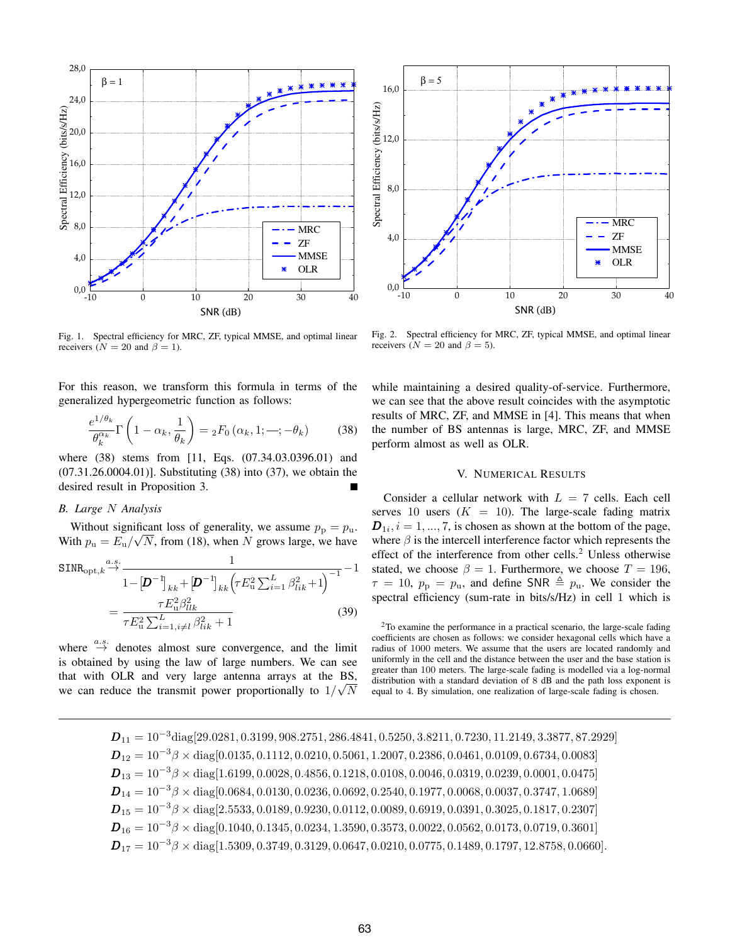

Fig. 1. Spectral efficiency for MRC, ZF, typical MMSE, and optimal linear receivers ( $N = 20$  and  $\beta = 1$ ).

For this reason, we transform this formula in terms of the generalized hypergeometric function as follows:

$$
\frac{e^{1/\theta_k}}{\theta_k^{\alpha_k}} \Gamma\left(1 - \alpha_k, \frac{1}{\theta_k}\right) = {}_2F_0\left(\alpha_k, 1; -; -\theta_k\right) \tag{38}
$$

where (38) stems from [11, Eqs. (07.34.03.0396.01) and (07.31.26.0004.01)]. Substituting (38) into (37), we obtain the desired result in Proposition 3.

#### *B. Large* N *Analysis*

Without significant loss of generality, we assume  $p_p = p_u$ . With  $p_{\rm u} = E_{\rm u}/\sqrt{N}$ , from (18), when N grows large, we have

$$
SINR_{opt,k} \stackrel{a.s.}{\rightarrow} \frac{1}{1 - \left[\boldsymbol{D}^{-1}\right]_{kk} + \left[\boldsymbol{D}^{-1}\right]_{kk} \left(\tau E_u^2 \sum_{i=1}^L \beta_{lik}^2 + 1\right)^{-1}} - 1
$$

$$
= \frac{\tau E_u^2 \beta_{ilk}^2}{\tau E_u^2 \sum_{i=1, i \neq l}^L \beta_{lik}^2 + 1} \tag{39}
$$

where  $\stackrel{a.s.}{\rightarrow}$  denotes almost sure convergence, and the limit is obtained by using the law of large numbers. We can see that with OLR and very large antenna arrays at the BS, we can reduce the transmit power proportionally to  $1/\sqrt{N}$ 



Fig. 2. Spectral efficiency for MRC, ZF, typical MMSE, and optimal linear receivers ( $N = 20$  and  $\beta = 5$ ).

while maintaining a desired quality-of-service. Furthermore, we can see that the above result coincides with the asymptotic results of MRC, ZF, and MMSE in [4]. This means that when the number of BS antennas is large, MRC, ZF, and MMSE perform almost as well as OLR.

#### V. NUMERICAL RESULTS

Consider a cellular network with  $L = 7$  cells. Each cell serves 10 users  $(K = 10)$ . The large-scale fading matrix  $\mathbf{D}_{1i}$ ,  $i = 1, ..., 7$ , is chosen as shown at the bottom of the page, where  $\beta$  is the intercell interference factor which represents the effect of the interference from other cells.<sup>2</sup> Unless otherwise stated, we choose  $\beta = 1$ . Furthermore, we choose  $T = 196$ ,  $\tau = 10$ ,  $p_p = p_u$ , and define SNR  $\triangleq p_u$ . We consider the spectral efficiency (sum-rate in bits/s/Hz) in cell 1 which is

<sup>2</sup>To examine the performance in a practical scenario, the large-scale fading coefficients are chosen as follows: we consider hexagonal cells which have a radius of 1000 meters. We assume that the users are located randomly and uniformly in the cell and the distance between the user and the base station is greater than 100 meters. The large-scale fading is modelled via a log-normal distribution with a standard deviation of 8 dB and the path loss exponent is equal to 4. By simulation, one realization of large-scale fading is chosen.

 $D_{11} = 10^{-3}$ diag[29.0281, 0.3199, 908.2751, 286.4841, 0.5250, 3.8211, 0.7230, 11.2149, 3.3877, 87.2929]  $\mathbf{D}_{12} = 10^{-3} \beta \times \text{diag}[0.0135, 0.1112, 0.0210, 0.5061, 1.2007, 0.2386, 0.0461, 0.0109, 0.6734, 0.0083]$  $\mathbf{D}_{13} = 10^{-3} \beta \times \text{diag}[1.6199, 0.0028, 0.4856, 0.1218, 0.0108, 0.0046, 0.0319, 0.0239, 0.0001, 0.0475]$  $\mathbf{D}_{14} = 10^{-3} \beta \times \text{diag}[0.0684, 0.0130, 0.0236, 0.0692, 0.2540, 0.1977, 0.0068, 0.0037, 0.3747, 1.0689]$  $\mathbf{D}_{15} = 10^{-3} \beta \times \text{diag}[2.5533, 0.0189, 0.9230, 0.0112, 0.0089, 0.6919, 0.0391, 0.3025, 0.1817, 0.2307]$  $\mathbf{D}_{16} = 10^{-3} \beta \times \text{diag}[0.1040, 0.1345, 0.0234, 1.3590, 0.3573, 0.0022, 0.0562, 0.0173, 0.0719, 0.3601]$  $\mathbf{D}_{17} = 10^{-3} \beta \times \text{diag}[1.5309, 0.3749, 0.3129, 0.0647, 0.0210, 0.0775, 0.1489, 0.1797, 12.8758, 0.0660].$